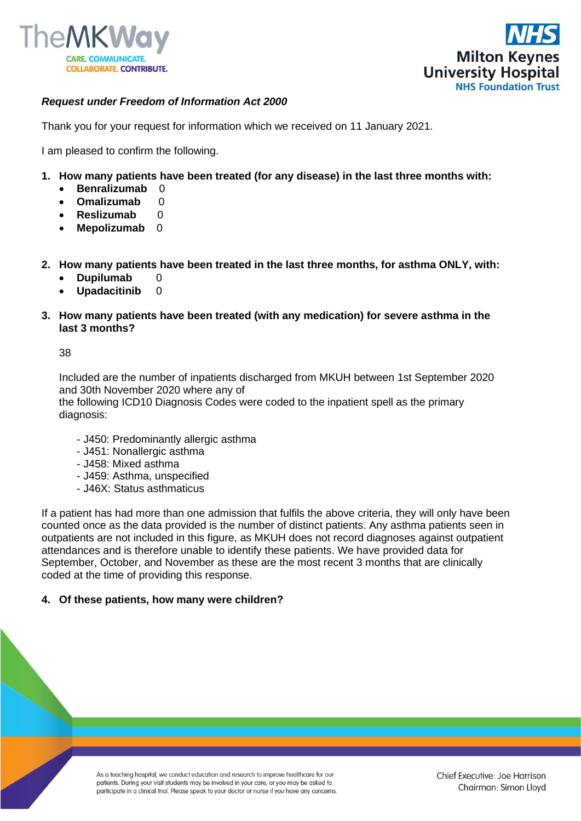



## *Request under Freedom of Information Act 2000*

Thank you for your request for information which we received on 11 January 2021.

I am pleased to confirm the following.

- **1. How many patients have been treated (for any disease) in the last three months with:**
	- **Benralizumab** 0
	- **Omalizumab** 0
	- **Reslizumab** 0
	- **Mepolizumab** 0
- **2. How many patients have been treated in the last three months, for asthma ONLY, with:**
	- **Dupilumab** 0
	- **Upadacitinib** 0
- **3. How many patients have been treated (with any medication) for severe asthma in the last 3 months?**

38

Included are the number of inpatients discharged from MKUH between 1st September 2020 and 30th November 2020 where any of

the following ICD10 Diagnosis Codes were coded to the inpatient spell as the primary diagnosis:

- J450: Predominantly allergic asthma
- J451: Nonallergic asthma
- J458: Mixed asthma
- J459: Asthma, unspecified
- J46X: Status asthmaticus

If a patient has had more than one admission that fulfils the above criteria, they will only have been counted once as the data provided is the number of distinct patients. Any asthma patients seen in outpatients are not included in this figure, as MKUH does not record diagnoses against outpatient attendances and is therefore unable to identify these patients. We have provided data for September, October, and November as these are the most recent 3 months that are clinically coded at the time of providing this response.

## **4. Of these patients, how many were children?**

As a teaching hospital, we conduct education and research to improve healthcare for our patients. During your visit students may be involved in your care, or you may be asked to participate in a clinical trial. Please speak to your doctor or nurse if you have any concerns.